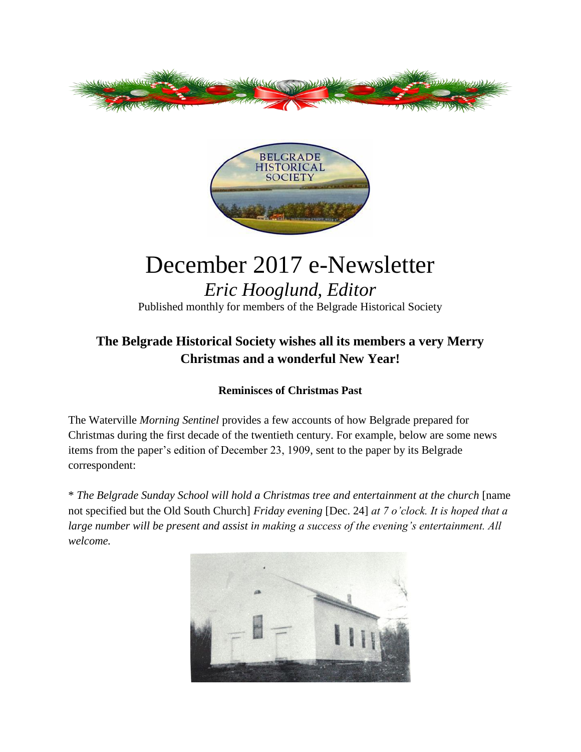



## December 2017 e-Newsletter *Eric Hooglund, Editor*

Published monthly for members of the Belgrade Historical Society

## **The Belgrade Historical Society wishes all its members a very Merry Christmas and a wonderful New Year!**

## **Reminisces of Christmas Past**

The Waterville *Morning Sentinel* provides a few accounts of how Belgrade prepared for Christmas during the first decade of the twentieth century. For example, below are some news items from the paper's edition of December 23, 1909, sent to the paper by its Belgrade correspondent:

\* *The Belgrade Sunday School will hold a Christmas tree and entertainment at the church* [name not specified but the Old South Church] *Friday evening* [Dec. 24] *at 7 o'clock. It is hoped that a large number will be present and assist in making a success of the evening's entertainment. All welcome.*

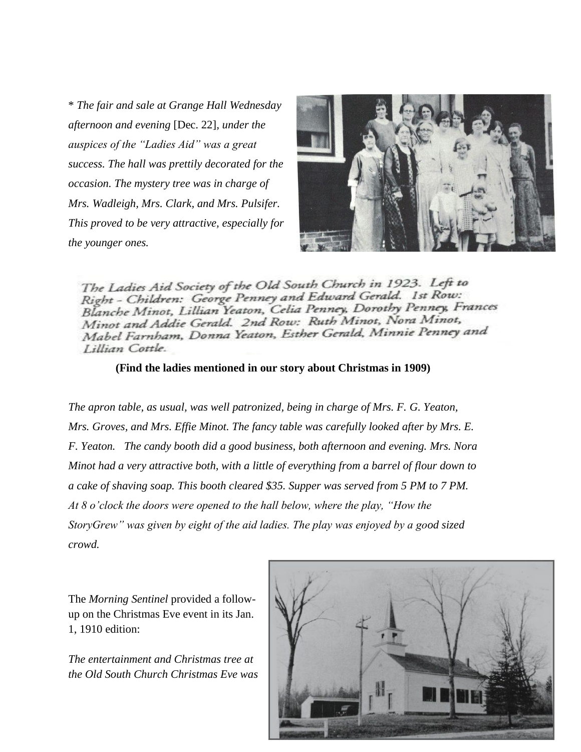\* *The fair and sale at Grange Hall Wednesday afternoon and evening* [Dec. 22]*, under the auspices of the "Ladies Aid" was a great success. The hall was prettily decorated for the occasion. The mystery tree was in charge of Mrs. Wadleigh, Mrs. Clark, and Mrs. Pulsifer. This proved to be very attractive, especially for the younger ones.* 



The Ladies Aid Society of the Old South Church in 1923. Left to Right - Children: George Penney and Edward Gerald. 1st Row: Right - Chilaren: George Fenney and Educated Dorothy Penney, Frances Minot and Addie Gerald. 2nd Row: Ruth Minot, Nora Minot, Minot and Addie Genua. 2nd 10th.<br>Mabel Farnham, Donna Yeaton, Esther Gerald, Minnie Penney and Lillian Cottle.

**(Find the ladies mentioned in our story about Christmas in 1909)**

*The apron table, as usual, was well patronized, being in charge of Mrs. F. G. Yeaton, Mrs. Groves, and Mrs. Effie Minot. The fancy table was carefully looked after by Mrs. E. F. Yeaton. The candy booth did a good business, both afternoon and evening. Mrs. Nora Minot had a very attractive both, with a little of everything from a barrel of flour down to a cake of shaving soap. This booth cleared \$35. Supper was served from 5 PM to 7 PM. At 8 o'clock the doors were opened to the hall below, where the play, "How the StoryGrew" was given by eight of the aid ladies. The play was enjoyed by a good sized crowd.*

The *Morning Sentinel* provided a followup on the Christmas Eve event in its Jan. 1, 1910 edition:

*The entertainment and Christmas tree at the Old South Church Christmas Eve was* 

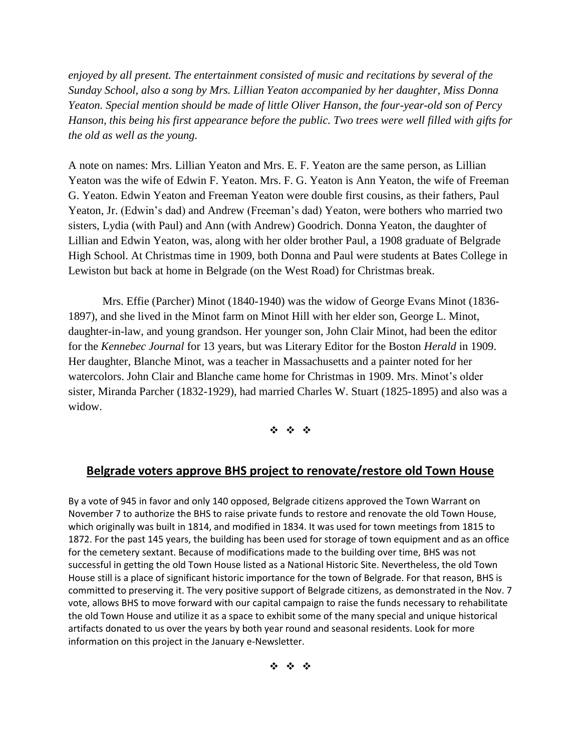*enjoyed by all present. The entertainment consisted of music and recitations by several of the Sunday School, also a song by Mrs. Lillian Yeaton accompanied by her daughter, Miss Donna Yeaton. Special mention should be made of little Oliver Hanson, the four-year-old son of Percy Hanson, this being his first appearance before the public. Two trees were well filled with gifts for the old as well as the young.*

A note on names: Mrs. Lillian Yeaton and Mrs. E. F. Yeaton are the same person, as Lillian Yeaton was the wife of Edwin F. Yeaton. Mrs. F. G. Yeaton is Ann Yeaton, the wife of Freeman G. Yeaton. Edwin Yeaton and Freeman Yeaton were double first cousins, as their fathers, Paul Yeaton, Jr. (Edwin's dad) and Andrew (Freeman's dad) Yeaton, were bothers who married two sisters, Lydia (with Paul) and Ann (with Andrew) Goodrich. Donna Yeaton, the daughter of Lillian and Edwin Yeaton, was, along with her older brother Paul, a 1908 graduate of Belgrade High School. At Christmas time in 1909, both Donna and Paul were students at Bates College in Lewiston but back at home in Belgrade (on the West Road) for Christmas break.

Mrs. Effie (Parcher) Minot (1840-1940) was the widow of George Evans Minot (1836- 1897), and she lived in the Minot farm on Minot Hill with her elder son, George L. Minot, daughter-in-law, and young grandson. Her younger son, John Clair Minot, had been the editor for the *Kennebec Journal* for 13 years, but was Literary Editor for the Boston *Herald* in 1909. Her daughter, Blanche Minot, was a teacher in Massachusetts and a painter noted for her watercolors. John Clair and Blanche came home for Christmas in 1909. Mrs. Minot's older sister, Miranda Parcher (1832-1929), had married Charles W. Stuart (1825-1895) and also was a widow.

 $\label{eq:3.1} \begin{array}{cccccccccc} \phi_1 & \phi_2 & \phi_3 & \phi_4 \end{array}$ 

## **Belgrade voters approve BHS project to renovate/restore old Town House**

By a vote of 945 in favor and only 140 opposed, Belgrade citizens approved the Town Warrant on November 7 to authorize the BHS to raise private funds to restore and renovate the old Town House, which originally was built in 1814, and modified in 1834. It was used for town meetings from 1815 to 1872. For the past 145 years, the building has been used for storage of town equipment and as an office for the cemetery sextant. Because of modifications made to the building over time, BHS was not successful in getting the old Town House listed as a National Historic Site. Nevertheless, the old Town House still is a place of significant historic importance for the town of Belgrade. For that reason, BHS is committed to preserving it. The very positive support of Belgrade citizens, as demonstrated in the Nov. 7 vote, allows BHS to move forward with our capital campaign to raise the funds necessary to rehabilitate the old Town House and utilize it as a space to exhibit some of the many special and unique historical artifacts donated to us over the years by both year round and seasonal residents. Look for more information on this project in the January e-Newsletter.

\* \* \*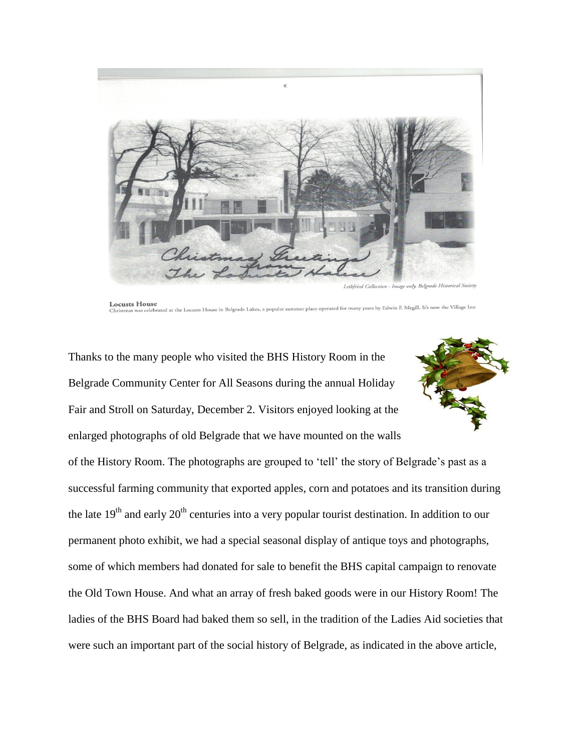

Leibfried Collection - Image only, Belgrade Hist

**Locusts House** ouse<br>celebrated at the Locusts House in Belgrade Lakes, a popular summer place operated for many years by Edwin F. Megill. It's now the Village Inn

Thanks to the many people who visited the BHS History Room in the Belgrade Community Center for All Seasons during the annual Holiday Fair and Stroll on Saturday, December 2. Visitors enjoyed looking at the enlarged photographs of old Belgrade that we have mounted on the walls



of the History Room. The photographs are grouped to 'tell' the story of Belgrade's past as a successful farming community that exported apples, corn and potatoes and its transition during the late  $19<sup>th</sup>$  and early  $20<sup>th</sup>$  centuries into a very popular tourist destination. In addition to our permanent photo exhibit, we had a special seasonal display of antique toys and photographs, some of which members had donated for sale to benefit the BHS capital campaign to renovate the Old Town House. And what an array of fresh baked goods were in our History Room! The ladies of the BHS Board had baked them so sell, in the tradition of the Ladies Aid societies that were such an important part of the social history of Belgrade, as indicated in the above article,